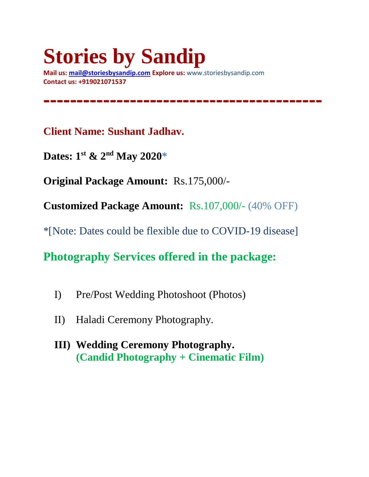# **Stories by Sandip**

**Mail us: [mail@storiesbysandip.com](mailto:mail@storiesbysandip.com) Explore us:** www.storiesbysandip.com **Contact us: +919021071537**

**Client Name: Sushant Jadhav.**

**Dates: 1 st & 2nd May 2020\***

**Original Package Amount:** Rs.175,000/-

**Customized Package Amount:** Rs.107,000/- (40% OFF)

**------------------------------------------**

\*[Note: Dates could be flexible due to COVID-19 disease]

**Photography Services offered in the package:**

- I) Pre/Post Wedding Photoshoot (Photos)
- II) Haladi Ceremony Photography.
- **III) Wedding Ceremony Photography. (Candid Photography + Cinematic Film)**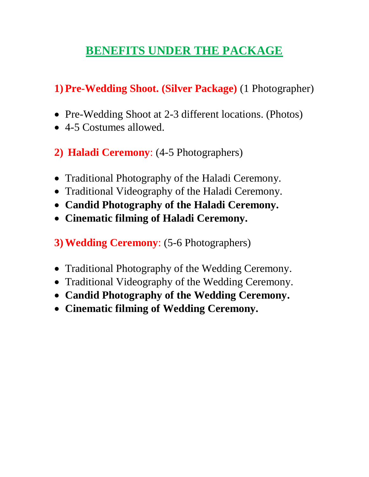## **BENEFITS UNDER THE PACKAGE**

### **1) Pre-Wedding Shoot. (Silver Package)** (1 Photographer)

- Pre-Wedding Shoot at 2-3 different locations. (Photos)
- 4-5 Costumes allowed.
- **2) Haladi Ceremony**: (4-5 Photographers)
- Traditional Photography of the Haladi Ceremony.
- Traditional Videography of the Haladi Ceremony.
- **Candid Photography of the Haladi Ceremony.**
- **Cinematic filming of Haladi Ceremony.**
- **3)Wedding Ceremony**: (5-6 Photographers)
- Traditional Photography of the Wedding Ceremony.
- Traditional Videography of the Wedding Ceremony.
- **Candid Photography of the Wedding Ceremony.**
- **Cinematic filming of Wedding Ceremony.**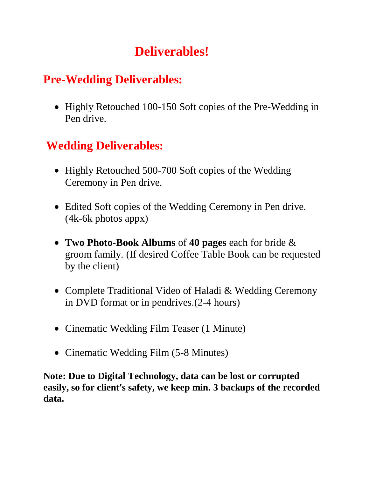## **Deliverables!**

## **Pre-Wedding Deliverables:**

• Highly Retouched 100-150 Soft copies of the Pre-Wedding in Pen drive.

## **Wedding Deliverables:**

- Highly Retouched 500-700 Soft copies of the Wedding Ceremony in Pen drive.
- Edited Soft copies of the Wedding Ceremony in Pen drive. (4k-6k photos appx)
- **Two Photo-Book Albums** of **40 pages** each for bride & groom family. (If desired Coffee Table Book can be requested by the client)
- Complete Traditional Video of Haladi & Wedding Ceremony in DVD format or in pendrives.(2-4 hours)
- Cinematic Wedding Film Teaser (1 Minute)
- Cinematic Wedding Film (5-8 Minutes)

**Note: Due to Digital Technology, data can be lost or corrupted easily, so for client's safety, we keep min. 3 backups of the recorded data.**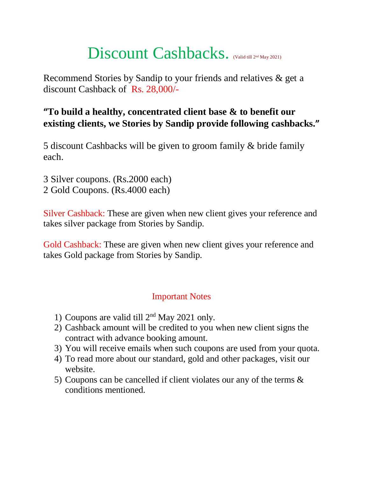## Discount Cashbacks. (Valid till 2nd May 2021)

Recommend Stories by Sandip to your friends and relatives & get a discount Cashback of Rs. 28,000/-

#### **"To build a healthy, concentrated client base & to benefit our existing clients, we Stories by Sandip provide following cashbacks."**

5 discount Cashbacks will be given to groom family & bride family each.

- 3 Silver coupons. (Rs.2000 each)
- 2 Gold Coupons. (Rs.4000 each)

Silver Cashback: These are given when new client gives your reference and takes silver package from Stories by Sandip.

Gold Cashback: These are given when new client gives your reference and takes Gold package from Stories by Sandip.

#### Important Notes

- 1) Coupons are valid till 2nd May 2021 only.
- 2) Cashback amount will be credited to you when new client signs the contract with advance booking amount.
- 3) You will receive emails when such coupons are used from your quota.
- 4) To read more about our standard, gold and other packages, visit our website.
- 5) Coupons can be cancelled if client violates our any of the terms & conditions mentioned.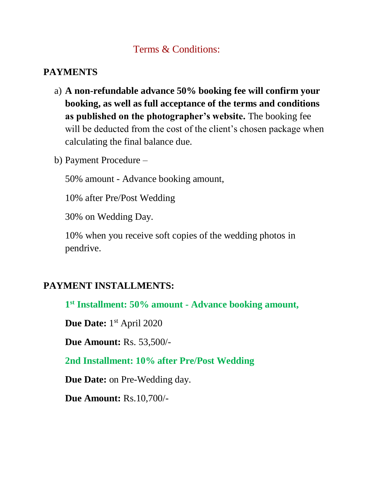#### Terms & Conditions:

#### **PAYMENTS**

- a) **A non-refundable advance 50% booking fee will confirm your booking, as well as full acceptance of the terms and conditions as published on the photographer's website.** The booking fee will be deducted from the cost of the client's chosen package when calculating the final balance due.
- b) Payment Procedure –

50% amount - Advance booking amount,

10% after Pre/Post Wedding

30% on Wedding Day.

10% when you receive soft copies of the wedding photos in pendrive.

#### **PAYMENT INSTALLMENTS:**

**1 st Installment: 50% amount - Advance booking amount,** 

Due Date: 1<sup>st</sup> April 2020

**Due Amount:** Rs. 53,500/-

**2nd Installment: 10% after Pre/Post Wedding**

**Due Date:** on Pre-Wedding day.

**Due Amount:** Rs.10,700/-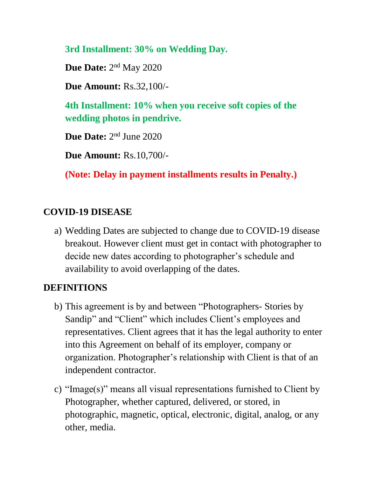#### **3rd Installment: 30% on Wedding Day.**

Due Date: 2<sup>nd</sup> May 2020

**Due Amount:** Rs.32,100/-

**4th Installment: 10% when you receive soft copies of the wedding photos in pendrive.**

Due Date: 2<sup>nd</sup> June 2020

**Due Amount:** Rs.10,700/-

**(Note: Delay in payment installments results in Penalty.)**

#### **COVID-19 DISEASE**

a) Wedding Dates are subjected to change due to COVID-19 disease breakout. However client must get in contact with photographer to decide new dates according to photographer's schedule and availability to avoid overlapping of the dates.

#### **DEFINITIONS**

- b) This agreement is by and between "Photographers- Stories by Sandip" and "Client" which includes Client's employees and representatives. Client agrees that it has the legal authority to enter into this Agreement on behalf of its employer, company or organization. Photographer's relationship with Client is that of an independent contractor.
- c) "Image(s)" means all visual representations furnished to Client by Photographer, whether captured, delivered, or stored, in photographic, magnetic, optical, electronic, digital, analog, or any other, media.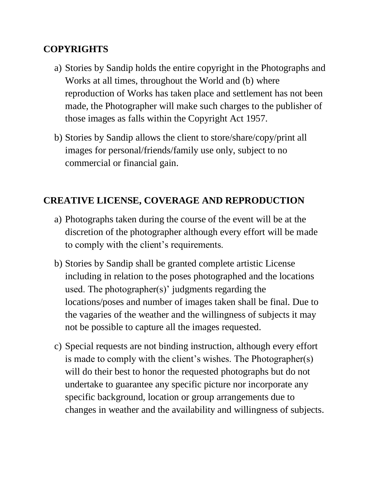#### **COPYRIGHTS**

- a) Stories by Sandip holds the entire copyright in the Photographs and Works at all times, throughout the World and (b) where reproduction of Works has taken place and settlement has not been made, the Photographer will make such charges to the publisher of those images as falls within the Copyright Act 1957.
- b) Stories by Sandip allows the client to store/share/copy/print all images for personal/friends/family use only, subject to no commercial or financial gain.

#### **CREATIVE LICENSE, COVERAGE AND REPRODUCTION**

- a) Photographs taken during the course of the event will be at the discretion of the photographer although every effort will be made to comply with the client's requirements.
- b) Stories by Sandip shall be granted complete artistic License including in relation to the poses photographed and the locations used. The photographer(s)' judgments regarding the locations/poses and number of images taken shall be final. Due to the vagaries of the weather and the willingness of subjects it may not be possible to capture all the images requested.
- c) Special requests are not binding instruction, although every effort is made to comply with the client's wishes. The Photographer(s) will do their best to honor the requested photographs but do not undertake to guarantee any specific picture nor incorporate any specific background, location or group arrangements due to changes in weather and the availability and willingness of subjects.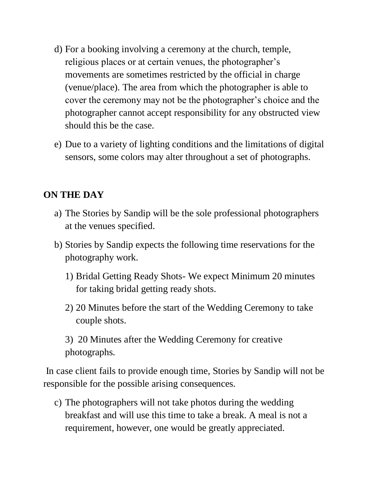- d) For a booking involving a ceremony at the church, temple, religious places or at certain venues, the photographer's movements are sometimes restricted by the official in charge (venue/place). The area from which the photographer is able to cover the ceremony may not be the photographer's choice and the photographer cannot accept responsibility for any obstructed view should this be the case.
- e) Due to a variety of lighting conditions and the limitations of digital sensors, some colors may alter throughout a set of photographs.

#### **ON THE DAY**

- a) The Stories by Sandip will be the sole professional photographers at the venues specified.
- b) Stories by Sandip expects the following time reservations for the photography work.
	- 1) Bridal Getting Ready Shots- We expect Minimum 20 minutes for taking bridal getting ready shots.
	- 2) 20 Minutes before the start of the Wedding Ceremony to take couple shots.

3) 20 Minutes after the Wedding Ceremony for creative photographs.

In case client fails to provide enough time, Stories by Sandip will not be responsible for the possible arising consequences.

c) The photographers will not take photos during the wedding breakfast and will use this time to take a break. A meal is not a requirement, however, one would be greatly appreciated.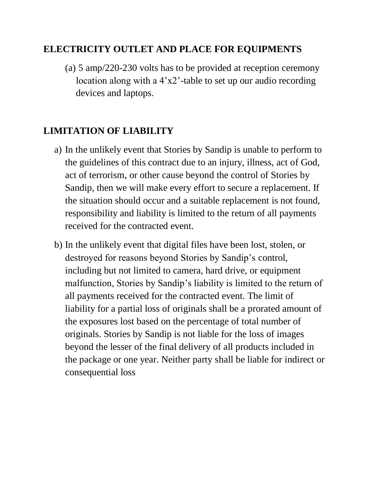#### **ELECTRICITY OUTLET AND PLACE FOR EQUIPMENTS**

(a) 5 amp/220-230 volts has to be provided at reception ceremony location along with a  $4'x2'$ -table to set up our audio recording devices and laptops.

#### **LIMITATION OF LIABILITY**

- a) In the unlikely event that Stories by Sandip is unable to perform to the guidelines of this contract due to an injury, illness, act of God, act of terrorism, or other cause beyond the control of Stories by Sandip, then we will make every effort to secure a replacement. If the situation should occur and a suitable replacement is not found, responsibility and liability is limited to the return of all payments received for the contracted event.
- b) In the unlikely event that digital files have been lost, stolen, or destroyed for reasons beyond Stories by Sandip's control, including but not limited to camera, hard drive, or equipment malfunction, Stories by Sandip's liability is limited to the return of all payments received for the contracted event. The limit of liability for a partial loss of originals shall be a prorated amount of the exposures lost based on the percentage of total number of originals. Stories by Sandip is not liable for the loss of images beyond the lesser of the final delivery of all products included in the package or one year. Neither party shall be liable for indirect or consequential loss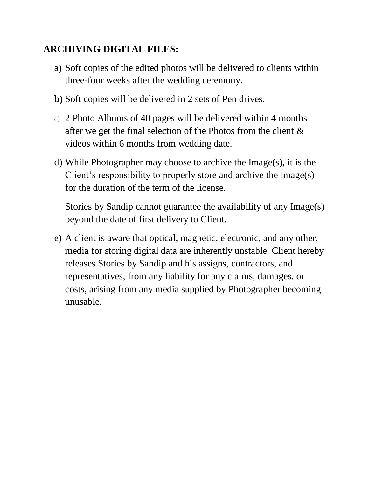#### **ARCHIVING DIGITAL FILES:**

- a) Soft copies of the edited photos will be delivered to clients within three-four weeks after the wedding ceremony.
- **b)** Soft copies will be delivered in 2 sets of Pen drives.
- c) 2 Photo Albums of 40 pages will be delivered within 4 months after we get the final selection of the Photos from the client & videos within 6 months from wedding date.
- d) While Photographer may choose to archive the Image(s), it is the Client's responsibility to properly store and archive the Image(s) for the duration of the term of the license.

Stories by Sandip cannot guarantee the availability of any Image(s) beyond the date of first delivery to Client.

e) A client is aware that optical, magnetic, electronic, and any other, media for storing digital data are inherently unstable. Client hereby releases Stories by Sandip and his assigns, contractors, and representatives, from any liability for any claims, damages, or costs, arising from any media supplied by Photographer becoming unusable.